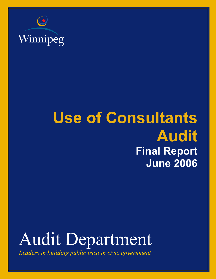

## **Use of Consultants Audit Final Report June 2006**

# Audit Department

*Leaders in building public trust in civic government*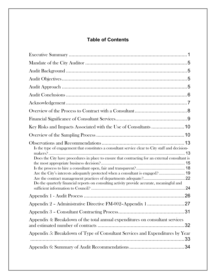### **Table of Contents**

| Is the type of engagement that constitutes a consultant service clear to City staff and decision-<br>Does the City have procedures in place to ensure that contracting for an external consultant is<br>Are the City's interests adequately protected when a consultant is engaged? 19<br>Do the quarterly financial reports on consulting activity provide accurate, meaningful and |  |
|--------------------------------------------------------------------------------------------------------------------------------------------------------------------------------------------------------------------------------------------------------------------------------------------------------------------------------------------------------------------------------------|--|
|                                                                                                                                                                                                                                                                                                                                                                                      |  |
| Appendix 2 - Administrative Directive FM-002-Appendix 127                                                                                                                                                                                                                                                                                                                            |  |
|                                                                                                                                                                                                                                                                                                                                                                                      |  |
| Appendix 4: Breakdown of the total annual expenditures on consultant services                                                                                                                                                                                                                                                                                                        |  |
| Appendix 5: Breakdown of Type of Consultant Services and Expenditures by Year                                                                                                                                                                                                                                                                                                        |  |
|                                                                                                                                                                                                                                                                                                                                                                                      |  |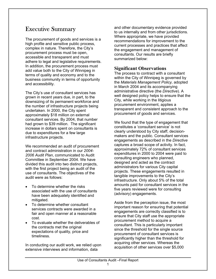## Executive Summary

The procurement of goods and services is a high profile and sensitive public process, complex in nature. Therefore, the City's procurement process must be open, accessible and transparent and must adhere to legal and legislative requirements. In addition, the procurement process must add value both to the City of Winnipeg in terms of quality and economy and to the business community in terms of opportunity and accessibility.

The City's use of consultant services has grown in recent years due, in part, to the downsizing of its permanent workforce and the number of infrastructure projects being undertaken. In 2000, the City spent approximately \$18 million on external consultant services. By 2004, that number had grown to \$39 million. The significant increase in dollars spent on consultants is due to expenditures for a few large infrastructure projects.

We recommended an audit of procurement and contract administration in our *2004- 2006 Audit Plan*, communicated to Audit Committee in September 2004. We have divided this audit into two distinct projects, with the first project being an audit of the use of consultants. The objectives of the audit were as follows:

- To determine whether the risks associated with the use of consultants have been adequately identified and mitigated.
- To determine whether consultant services contracts were awarded in a fair and open manner at a reasonable cost.
- To evaluate whether the deliverables of the contracts met the original expectations of quality, price and timeliness.

In conducting our audit work, we relied upon extensive interviews and information, data

and other documentary evidence provided to us internally and from other jurisdictions. Where appropriate, we have provided recommendations for improvement to the current processes and practices that affect the engagement and management of consultants. Our results are briefly summarized below:

#### **Significant Observations**

The process to contract with a consultant within the City of Winnipeg is governed by the *Materials Management Policy,* adopted in March 2004 and its accompanying administrative directive (the *Directive*). A well designed policy helps to ensure that the City, while working in the litigious procurement environment, applies a transparent and consistent approach to the procurement of goods and services.

We found that the type of engagement that constitutes a 'consultant service' is not clearly understood by City staff, decisionmakers and the public. Consultant services engagements as described in the *Directive*  captures a broad scope of activity. In fact, approximately 72% of consultant services expenditures in 2000 to 2004 were paid to consulting engineers who planned, designed and acted as the contract administrators for various City capital projects. These engagements resulted in tangible improvements to the City's infrastructure. Only about 5% of the total amounts paid for consultant services in the five years reviewed were for consulting (advisory) engagements.

Aside from the perception issue, the most important reason for ensuring that potential engagements are correctly classified is to ensure that City staff use the appropriate procurement method to acquire a consultant. This is particularly important since the threshold for the single source procurement of consultant services is significantly higher than the threshold for acquiring other services. Whereas the acquisition of other services over \$5,000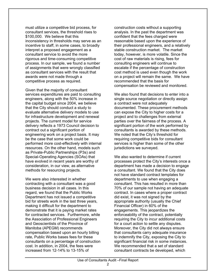must utilize a competitive bid process, for consultant services, the threshold rises to \$100,000. We believe that this inconsistency in thresholds may serve as an incentive to staff, in some cases, to broadly interpret a proposed engagement as a consultant service to avoid the more rigorous and time-consuming competitive process. In our sample, we found a number of assignments that were wrongly classified as consultant services with the result that awards were not made through a competitive process as required.

Given that the majority of consultant services expenditures are paid to consulting engineers, along with the 50% increase in the capital budget since 2004, we believe that the City should conduct a study to evaluate alternative delivery models to use for infrastructure development and renewal projects. The current model for service delivery reflects a 1973 Council decision to contract out a significant portion of engineering work on a project basis. It may be the case that some work could be performed more cost-effectively with internal resources. On the other hand, models such as Private-Public Partnerships (P3s) and Special-Operating Agencies (SOAs) that have evolved in recent years are worthy of consideration, in our view, as alternative methods for resourcing projects.

We were also interested in whether contracting with a consultant was a good business decision in all cases. In this regard, we found that the Public Works Department has not issued a competitive bid for streets work in the last three years, making it difficult for the department to demonstrate that it is paying market rates for contracted services. Furthermore, while the Association of Professional Engineers and Geoscientists of the Province of Manitoba (APEGM) recommends compensation based upon an hourly billing rate, Public Works bases fees for these consultants on a percentage of construction cost. In addition, in 2004, the fees were increased from 12-14% to 13-15% of

construction costs without a supporting analysis. In the past the department was confident that the fees charged were reasonable based upon the experience of their professional engineers, and a relatively stable construction market. The market today, however, is more volatile. Since the cost of raw materials is rising, fees for consulting engineers will continue to escalate if the percentage of construction cost method is used even though the work on a project will remain the same. We have recommended that the basis for compensation be reviewed and monitored.

We also found that decisions to enter into a single source negotiation or directly assign a contract were not adequately documented. These procurement methods can expose the City to higher costs for a project and to challenges from external parties over the fairness of the process. A significant portion of the work performed by consultants is awarded by these methods. We noted that the City's threshold for requiring competitive bids for consultant services is higher than some of the other jurisdictions we surveyed.

We also wanted to determine if current processes protect the City's interests once a department has made a decision to engage a consultant. We found that the City does not have standard contract templates for departments to use when engaging a consultant. This has resulted in more than 70% of our sample not having an adequate contract. In cases where a proper contract did exist, it was not signed by the appropriate authority (usually the Chief Financial Officer) in 60% of the engagements. This jeopardizes the enforceability of the contract, potentially requiring the City to incur additional costs for a court action to settle any disputes. Moreover, the City did not always ensure that consultants carry adequate insurance to indemnify the City, exposing the City to significant financial risk in some instances. We recommended that a set of standard consultant contracts be developed, which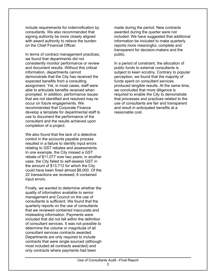include requirements for indemnification by consultants. We also recommended that signing authority be more closely aligned with award authority to relieve the burden on the Chief Financial Officer.

In terms of contract management practices, we found that departments did not consistently monitor performance or review and document results. Without this critical information, departments cannot demonstrate that the City has received the expected benefits from a consulting assignment. Yet, in most cases, staff were able to articulate benefits received when prompted. In addition, performance issues that are not identified and resolved may reoccur on future engagements. We recommended that Corporate Finance develop a template for departmental staff to use to document the performance of the consultant and the results achieved upon completion of a project.

We also found that the lack of a detective control in the accounts payable process resulted in a failure to identify input errors relating to GST rebates and assessments. In one example, the City missed a GST rebate of \$11,077 over two years; in another case, the City failed to self-assess GST in the amount of \$13,712 for which the City could have been fined almost \$8,000. Of the 22 transactions we reviewed, 6 contained input errors.

Finally, we wanted to determine whether the quality of information available to senior management and Council on the use of consultants is sufficient. We found that the quarterly reports on the use of consultants that we reviewed contained inaccurate and misleading information. Payments were included that did not fall within the definition of consultant services. It was not possible to determine the volume or magnitude of all consultant services contracts awarded. Departments are only required to include contracts that were single sourced (although most included all contracts awarded) and only contracts where payments had been

made during the period. New contracts awarded during the quarter were not included. We have suggested that additional information be included to make quarterly reports more meaningful, complete and transparent for decision-makers and the public.

In a period of constraint, the allocation of public funds to external consultants is subject to keen scrutiny. Contrary to popular perception, we found that the majority of funds spent on consultant services produced tangible results. At the same time, we concluded that more diligence is required to enable the City to demonstrate that processes and practices related to the use of consultants are fair and transparent and result in anticipated benefits at a reasonable cost.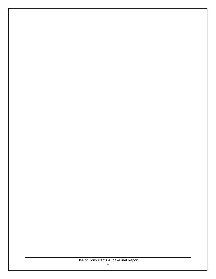#### Use of Consultants Audit –Final Report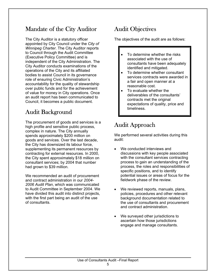## Mandate of the City Auditor

The City Auditor is a statutory officer appointed by City Council under the *City of Winnipeg Charter*. The City Auditor reports to Council through the Audit Committee (Executive Policy Committee) and is independent of the City Administration. The City Auditor conducts examinations of the operations of the City and its affiliated bodies to assist Council in its governance role of ensuring Civic Administration's accountability for the quality of stewardship over public funds and for the achievement of value for money in City operations. Once an audit report has been communicated to Council, it becomes a public document.

## Audit Background

The procurement of goods and services is a high profile and sensitive public process, complex in nature. The City annually spends approximately \$200 million on goods and services. Over the last decade, the City has downsized its labour force, supplementing its permanent resources by contracting for external resources. In 2000, the City spent approximately \$18 million on consultant services; by 2004 that number had grown to \$39 million.

We recommended an audit of procurement and contract administration in our *2004- 2006 Audit Plan*, which was communicated to Audit Committee in September 2004. We have divided this audit into distinct projects, with the first part being an audit of the use of consultants.

## Audit Objectives

The objectives of the audit are as follows:

- To determine whether the risks associated with the use of consultants have been adequately identified and mitigated.
- To determine whether consultant services contracts were awarded in a fair and open manner at a reasonable cost.
- To evaluate whether the deliverables of the consultants' contracts met the original expectations of quality, price and timeliness.

## Audit Approach

We performed several activities during this audit:

- We conducted interviews and discussions with key people associated with the consultant services contracting process to gain an understanding of the process, the roles and responsibilities of specific positions, and to identify potential issues or areas of focus for the fieldwork phase of the review.
- We reviewed reports, manuals, plans, policies, procedures and other relevant background documentation related to the use of consultants and procurement and contract administration.
- We surveyed other jurisdictions to ascertain how those jurisdictions engage and manage consultants.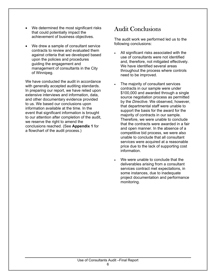- We determined the most significant risks that could potentially impact the achievement of business objectives.
- We drew a sample of consultant service contracts to review and evaluated them against criteria that we developed based upon the policies and procedures guiding the engagement and management of consultants in the City of Winnipeg.

We have conducted the audit in accordance with generally accepted auditing standards. In preparing our report, we have relied upon extensive interviews and information, data, and other documentary evidence provided to us. We based our conclusions upon information available at the time. In the event that significant information is brought to our attention after completion of the audit, we reserve the right to amend the conclusions reached. (See **Appendix 1** for a flowchart of the audit process.)

## Audit Conclusions

The audit work we performed led us to the following conclusions:

- All significant risks associated with the use of consultants were not identified and, therefore, not mitigated effectively. We have identified several areas throughout the process where controls need to be improved.
- The majority of consultant services contracts in our sample were under \$100,000 and awarded through a single source negotiation process as permitted by the *Directive*. We observed, however, that departmental staff were unable to support the basis for the award for the majority of contracts in our sample. Therefore, we were unable to conclude that the contracts were awarded in a fair and open manner. In the absence of a competitive bid process, we were also unable to conclude that all consultant services were acquired at a reasonable price due to the lack of supporting cost information.
- We were unable to conclude that the deliverables arising from a consultant services contract met expectations, in some instances, due to inadequate project documentation and performance monitoring.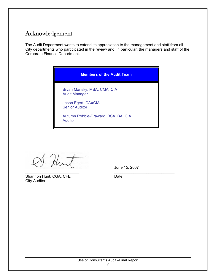## Acknowledgement

The Audit Department wants to extend its appreciation to the management and staff from all City departments who participated in the review and, in particular, the managers and staff of the Corporate Finance Department.



O. Hunt

City Auditor

\_\_\_\_\_\_\_\_\_\_\_\_\_\_\_\_\_\_\_\_\_\_\_\_\_ *\_\_\_\_\_\_\_\_\_\_\_\_\_\_\_\_\_\_\_\_\_\_\_\_\_\_\_\_* Shannon Hunt, CGA, CFE Date

June 15, 2007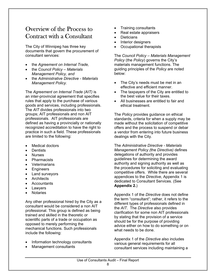## Overview of the Process to Contract with a Consultant

The City of Winnipeg has three key documents that govern the procurement of consultant services:

- the *Agreement on Internal Trade,*
- the *Council Policy Materials Management Policy, and*
- the *Administrative Directive Materials Management Policy.*

The *Agreement on Internal Trade (AIT)* is an inter-provincial agreement that specifies rules that apply to the purchase of various goods and services, including professionals. The *AIT* divides professionals into two groups; AIT professionals and non AIT professionals. AIT professionals are defined as having a provincially or nationally recognized accreditation to have the right to practice in such a field. These professionals are limited to the following:

- Medical doctors
- Dentists
- Nurses
- Pharmacists
- **Veterinarians**
- **Engineers**
- Land surveyors
- Architects
- Accountants
- Lawyers
- Notaries

Any other professional hired by the City as a consultant would be considered a non AIT professional. This group is defined as being trained and skilled in the theoretic or scientific parts of a trade or occupation as opposed to merely performing the mechanical functions. Such professionals include the following:

- Information technology consultants
- Management consultants
- Training consultants
- Real estate appraisers
- **Dieticians**
- Interior designers
- Occupational therapists

The *Council Policy – Materials Management Policy* (the *Policy*) governs the City's materials management functions. The guiding principles of the *Policy* are noted below:

- The City's needs must be met in an effective and efficient manner.
- The taxpayers of the City are entitled to the best value for their taxes.
- All businesses are entitled to fair and ethical treatment.

The *Policy* provides guidance on ethical standards, criteria for when a supply may be made without the solicitation of competitive offers and the process to suspend or debar a vendor from entering into future business dealings with the City.

The *Administrative Directive - Materials Management Policy (*the *Directive)* defines delegations of authority and provides guidelines for determining the award authority and signing authority as well as the procedures for soliciting and evaluating competitive offers. While there are several appendices to the *Directive*, Appendix 1 is dedicated to Consultant Services. (See **Appendix 2.**)

Appendix 1 of the *Directive* does not define the term "consultant"; rather, it refers to the different types of professionals defined in the *AIT*. The *Directive* also provides clarification for some non AIT professionals by stating that the provision of a service should be for the purpose of providing advice either on how to do something or on what needs to be done.

Appendix 1 of the *Directive* also includes various general requirements for all consultant services including maintaining a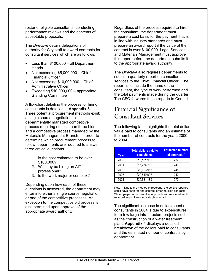roster of eligible consultants, conducting performance reviews and the contents of acceptable proposals.

The *Directive* details delegations of authority for City staff to award contracts for consultant services which are as follows:

- Less than \$100,000 all Department Heads.
- Not exceeding \$5,000,000 Chief Financial Officer
- Not exceeding \$10,000,000 Chief Administrative Officer
- Exceeding \$10,000,000 appropriate Standing Committee

A flowchart detailing the process for hiring consultants is detailed in **Appendix 3.**  Three potential procurement methods exist: a single source negotiation, a departmentally managed competitive process requiring no less than three bids and a competitive process managed by the Materials Management Branch. In order to determine which procurement process to follow, departments are required to answer three critical questions.

- 1. Is the cost estimated to be over \$100,000?
- 2. Will they be hiring an AIT professional?
- 3. Is the work major or complex?

Depending upon how each of these questions is answered, the department may enter into either a single source negotiation or one of the competitive processes. An exception to the competitive bid process is also permitted upon approval of the appropriate award authority.

Regardless of the process required to hire the consultant, the department must prepare a cost basis for the payment that is in line with industry standards and must prepare an award report if the value of the contract is over \$100,000. Legal Services and Materials Management must approve this report before the department submits it to the appropriate award authority.

The *Directive* also requires departments to submit a quarterly report on consultant services to the Chief Financial Officer. The report is to include the name of the consultant, the type of work performed and the total payments made during the quarter. The CFO forwards these reports to Council.

## Financial Significance of Consultant Services

The following table highlights the total dollar value paid to consultants and an estimate of the number of contracts for the years 2000 to 2004.

| Year | <b>Total dollars paid to</b><br>consultants | <b>Estimated number</b><br>of contracts |
|------|---------------------------------------------|-----------------------------------------|
| 2000 | \$18,101,908                                | 237                                     |
| 2001 | \$16,734,762                                | 249                                     |
| 2002 | \$20,023,958                                | 248                                     |
| 2003 | \$20,519,997                                | 242                                     |
| 2004 | \$39,531,189                                | 270                                     |

Note 1: Due to the method of reporting, the dollars reported could have been for one contract or for multiple contracts. We employed a conservative approach and assumed each reported amount was for a single contract.

The significant increase in dollars spent on consultants in 2004 is due to expenditures for a few large infrastructure projects such as the construction of a water treatment plant. **Appendix 4** displays a detailed breakdown of the dollars paid to consultants and the estimated number of contracts by department.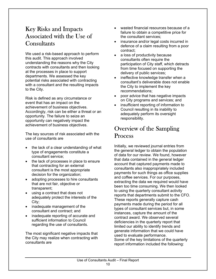## Key Risks and Impacts Associated with the Use of **Consultants**

We used a risk-based approach to perform this audit. This approach involved understanding the reasons why the City contracts with consultants and then looking at the processes in place to support departments. We assessed the key potential risks associated with contracting with a consultant and the resulting impacts to the City.

Risk is defined as any circumstance or event that has an impact on the achievement of business objectives. Accordingly, risk can be either a threat or an opportunity. The failure to seize an opportunity can negatively impact the achievement of business objectives.

The key sources of risk associated with the use of consultants are

- the lack of a clear understanding of what type of engagements constitute a consultant service;
- the lack of processes in place to ensure that contracting for an external consultant is the most appropriate decision for the organization;
- adopting processes to hire consultants that are not fair, objective or transparent;
- using a contract that does not adequately protect the interests of the City;
- inadequate management of the consultant and contract; and
- inadequate reporting of accurate and sufficient information to Council regarding the use of consultants.

The most significant negative impacts that the City may realize when contracting with consultants are

- wasted financial resources because of a failure to obtain a competitive price for the consultant services;
- insurance and/or legal costs incurred in defence of a claim resulting from a poor contract;
- a loss of productivity because consultants often require the participation of City staff, which detracts from time focused on supporting the delivery of public services;
- ineffective knowledge transfer when a consultant's deliverable does not enable the City to implement the key recommendations;
- poor advice that has negative impacts on City programs and services; and
- insufficient reporting of information to Council resulting in its inability to adequately perform its oversight responsibility.

## Overview of the Sampling Process

Initially, we reviewed journal entries from the general ledger to obtain the population of data for our review. We found, however that data contained in the general ledger account that captured payments made to consultants also inappropriately included payments for such things as office supplies and coffee services. For our purposes, extracting the data we required would have been too time consuming. We then looked to using the quarterly consultant activity reports that departments submit to the CFO. These reports generally capture cash payments made during the period for all types of consultant services but, in some instances, capture the amount of the contract award. We observed several deficiencies in the quarterly report that limited our ability to identify trends and generate information that we could have used to evaluate performance. Some of the key limitations of the quarterly report information included the following: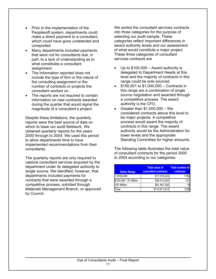- Prior to the implementation of the Peoplesoft system, departments could make a direct payment to a consultant, which could have gone undetected and unreported.
- Many departments included payments that were not for consultants due, in part, to a lack of understanding as to what constitutes a consultant assignment.
- The information reported does not include the type of firm or the nature of the consulting assignment or the number of contracts or projects the consultant worked on.
- The reports are not required to contain information on new contracts awarded during the quarter that would signal the magnitude of a consultant's project.

Despite these limitations, the quarterly reports were the best source of data on which to base our audit fieldwork. We obtained quarterly reports for the years 2000 through to 2004. We used this period to allow departments time to have implemented recommendations from their consultants.

The quarterly reports are only required to capture consultant services acquired by the department under its delegated authority to single source. We identified, however, that departments included payments for contracts that were awarded through a competitive process, solicited through Materials Management Branch, or approved by Council.

We sorted the consultant services contracts into three categories for the purpose of selecting our audit sample. These categories reflect important differences in award authority levels and our assessment of what would constitute a major project. These three categories of consultant services contracts are

- Up to  $$100,000 -$  Award authority is delegated to Department Heads at this level and the majority of contracts in this range could be sole sourced.
- \$100,001 to \$1,000,000 Contracts in this range are a combination of single source negotiation and awarded through a competitive process. The award authority is the CFO.
- Greater than \$1,000,000 We considered contracts above this level to be major projects. A competitive process would award the majority of contracts in this range. The award authority would be the Administration for lower levels and the appropriate Standing Committee for higher amounts.

The following table illustrates the total value of consultant contracts for the period 2000 to 2004 according to our categories:

| <b>Dollar Range</b>     | <b>Total value of</b><br><b>consultant contracts</b> | <b>Total number of</b><br>contracts |
|-------------------------|------------------------------------------------------|-------------------------------------|
| $<$ \$100,000           | \$17,018,224                                         | 1106                                |
| \$100,000 - \$1 Million | \$36,412,054                                         |                                     |
| >\$1 Million            | \$61,481,536                                         | 19                                  |
| Total                   | \$114,911,814                                        | 1246                                |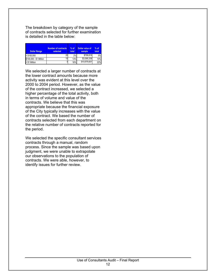The breakdown by category of the sample of contracts selected for further examination is detailed in the table below:

| <b>Dollar Range</b>     | <b>Number of contracts</b><br>selected | $%$ of<br>total | Dollar value of<br>sample | $%$ of<br>total |
|-------------------------|----------------------------------------|-----------------|---------------------------|-----------------|
| $<$ \$100,000           | 20                                     | 2%              | \$799.816                 | 5%              |
| \$100,000 - \$1 Million | 15                                     | 13%             | \$3,595,339               | 10%             |
| \$1 Million             |                                        | 16%             | \$13,575,631              | 22%             |

We selected a larger number of contracts at the lower contract amounts because more activity was evident at this level over the 2000 to 2004 period. However, as the value of the contract increased, we selected a higher percentage of the total activity, both in terms of volume and value of the contracts. We believe that this was appropriate because the financial exposure of the City typically increases with the value of the contract. We based the number of contracts selected from each department on the relative number of contracts reported for the period.

We selected the specific consultant services contracts through a manual, random process. Since the sample was based upon judgment, we were unable to extrapolate our observations to the population of contracts. We were able, however, to identify issues for further review.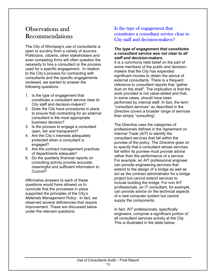## Observations and Recommendations

The City of Winnipeg's use of consultants is open to scrutiny from a variety of sources. Politicians, citizens, other stakeholders and even competing firms will often question the necessity to hire a consultant or the process used for a specific engagement. In relation to the City's process for contracting with consultants and the specific engagements reviewed, we wanted to answer the following questions:

- 1. Is the type of engagement that constitutes a consultant service clear to City staff and decision-makers?
- 2. Does the City have procedures in place to ensure that contracting for an external consultant is the most appropriate business decision?
- 3. Is the process to engage a consultant open, fair and transparent?
- 4. Are the City's interests adequately protected when a consultant is engaged?
- 5. Are the contract management practices of departments adequate?
- 6. Do the quarterly financial reports on consulting activity provide accurate, meaningful and sufficient information to Council?

Affirmative answers to each of these questions would have allowed us to conclude that the processes in place supported the principles of the City's *Materials Management Policy*. In fact, we observed several deficiencies that require improvement. These are discussed below under the relevant questions.

#### Is the type of engagement that constitutes a consultant service clear to City staff and decision-makers?

#### *The type of engagement that constitutes a consultant service was not clear to all staff and decision-makers.*

It is a commonly held belief on the part of some members of the public and decisionmakers that the City has expended significant monies to obtain the advice of external consultants. There is a frequent reference to consultant reports that "gather dust on the shelf". The implication is that the work provided is not value-added and that, in some cases, should have been performed by internal staff. In fact, the term "consultant services" as described in the *Directive* covers a broader range of services than simply "consulting".

The *Directive* uses the categories of professionals defined in the *Agreement on Internal Trade (AIT*) to identify the consultant services that fall within the purview of the policy. The *Directive* goes on to specify that a consultant whose services fall within its purview must provide advice rather than the performance of a service. For example, an AIT professional engineer can provide engineering services that extend to the design of a bridge as well as act as the contract administrator for a bridge project but cannot extend services to include building the bridge. For non AIT professionals, an IT consultant, for example, can provide advice on the technical aspects of a new computer system but cannot supply the components.

In fact, AIT professionals, specifically engineers, comprise a significant portion of all consultant services activity at the City. This is illustrated in the table below: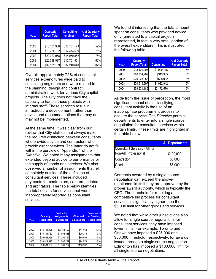| Year | <b>Quarterly</b><br><b>Report Total</b> | % of Quarterly<br><b>Report Total</b> |     |
|------|-----------------------------------------|---------------------------------------|-----|
|      |                                         |                                       |     |
| 2000 | \$18,101,908                            | \$10,701,173                          | 59% |
| 2001 | \$16,734,762                            | \$12,474,589                          | 75% |
| 2002 | \$20,023,958                            | \$14,959,852                          | 75% |
| 2003 | \$20,519,997                            | \$12,751,551                          | 62% |
| 2004 | \$39,531,189                            | \$32,240,648                          | 82% |

Overall, approximately 72% of consultant services expenditures were paid to consulting engineers and were related to the planning, design and contract administration work for various City capital projects. The City does not have the capacity to handle these projects with internal staff. These services result in infrastructure development, rather than advice and recommendations that may or may not be implemented.

At the same time, it was clear from our review that City staff did not always make the required distinction between consultants who provide advice and contractors who provide direct services. The latter do not fall within the purview of Appendix 1 of the *Directive*. We noted many assignments that extended beyond advice to performance or the supply of goods and services. We also observed a number of assignments that fell completely outside of the definition of consultant services. These included payments for contractors, caterers, printers and arbitrators. The table below identifies the total dollars for services that were inappropriately reported as consultant services:

| Year | <b>Quarterly</b><br><b>Report Total</b> | <b>Contractor</b><br><b>Assignments</b><br>(includes IT) | <b>Other and</b><br><b>Misclassified</b> | <b>Combined %</b><br>of Quarterly<br><b>Report Total</b> |
|------|-----------------------------------------|----------------------------------------------------------|------------------------------------------|----------------------------------------------------------|
|      |                                         |                                                          |                                          |                                                          |
| 2000 | \$18,101,908                            | \$2,153,109                                              | \$44,482                                 | 12%                                                      |
| 2001 | \$16,734,762                            | \$1,068,838                                              | \$29,376                                 | 7%                                                       |
| 2002 | \$20,023,958                            | \$1,299,162                                              | \$69,998                                 | 7%                                                       |
| 2003 | \$20,519,997                            | \$1,505,289                                              | \$94,673                                 | 8%                                                       |
| 2004 | \$39,531,189                            | \$1,161,764                                              | \$118,862                                | 3%                                                       |

We found it interesting that the total amount spent on consultants who provided advice only (unrelated to a capital project) represented, in fact, a very small portion of the overall expenditure. This is illustrated in the following table:

| Year | <b>Quarterly</b><br><b>Report Total</b> | <b>Consulting</b> | % of Quarterly<br><b>Report Total</b> |
|------|-----------------------------------------|-------------------|---------------------------------------|
| 2000 | \$18,101,908                            | \$1,099,416       | 6%                                    |
| 2001 | \$16,734,762                            | \$913,935         | 5%                                    |
| 2002 | \$20,023,958                            | \$628,902         | 3%                                    |
| 2003 | \$20,519,997                            | \$1,032,942       | 5%                                    |
| 2004 | \$39,531,189                            | \$2,172,576       | 5%                                    |

Aside from the issue of perception, the most significant impact of misclassifying consultant activity is the use of an inappropriate procurement process to acquire the service. The *Directive* permits departments to enter into a single source negotiation for consultant services within certain limits. These limits are highlighted in the table below:

|                                     | <b>All Departments</b> |
|-------------------------------------|------------------------|
| <b>Consultant Services - AIT or</b> |                        |
| <b>Non-AIT Professional</b>         | \$100,000              |
| Contractor                          | \$5,000                |
| Goods                               | \$5,000                |

Contracts awarded by a single source negotiation can exceed the abovementioned limits if they are approved by the proper award authority, which is typically the CFO. The threshold for requiring a competitive bid process for consultant services is significantly higher than the \$5,000 limit for other goods and services.

We noted that while other jurisdictions also allow for single source negotiations for consultant services, they have imposed lower limits. For example, Toronto and Ottawa have imposed a \$25,000 and \$50,000 threshold, respectively, for awards issued through a single source negotiation. Edmonton has imposed a \$100,000 limit for all single source negotiations.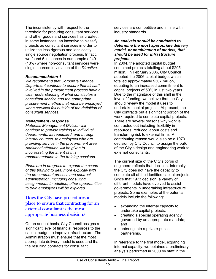The inconsistency with respect to the threshold for procuring consultant services and other goods and services has created, in some instances, an incentive to classify projects as consultant services in order to utilize the less rigorous and less costly single source negotiation process. In fact, we found 5 instances in our sample of 40 (13%) where non-consultant services were single sourced in violation of the *Directive*.

#### *Recommendation 1*

*We recommend that Corporate Finance Department continue to ensure that all staff involved in the procurement process have a clear understanding of what constitutes a consultant service and the appropriate procurement method that must be employed when services fall outside of the definition of consultant services.* 

#### *Management Response*

*Materials Management Division will continue to provide training to individual departments, as requested, and through internal courses, to employees who are providing service in the procurement area. Additional attention will be given to incorporating the intent of this recommendation in the training sessions.* 

*Plans are in progress to expand the scope of this training to deal more explicitly with the procurement process and contract administration, including consulting assignments. In addition, other opportunities to train employees will be explored.* 

#### Does the City have procedures in place to ensure that contracting for an external consultant is the most appropriate business decision?

On an annual basis, City Council assigns a significant level of financial resources to the capital budget to improve infrastructure. The Administration must ensure that the most appropriate delivery model is used and that the resulting contracts for consultant

services are competitive and in line with industry standards.

#### *An analysis should be conducted to determine the most appropriate delivery model, or combination of models, that should be used for infrastructure projects.*

In 2004, the adopted capital budget contained projects totalling about \$205 million. In February 2006, City Council adopted the 2006 capital budget which totalled approximately \$307 million, equating to an increased commitment to capital projects of 50% in just two years. Due to the magnitude of this shift in the level of funding, we believe that the City should review the model it uses to undertake capital projects. At present, the City contracts out a significant portion of the work required to complete capital projects. There are several reasons why work is contracted out including flexibility in resources, reduced labour costs and transferring risk to external firms. A contributing reason would also be a 1973 decision by City Council to assign the bulk of the City's design and engineering work to external consultants.

The current size of the City's corps of engineers reflects that decision. Internally, the City does not have the capacity to complete all of the identified capital projects. Since that 1973 decision, a variety of different models have evolved to assist governments in undertaking infrastructure projects. Some examples of the potential models include the following:

- expanding the internal capacity to undertake capital projects;
- creating a special operating agency governed by an appropriate mandate; and
- entering into a private-public partnership.

In reference to the first model, expanding internal capacity, we obtained a preliminary analysis performed in 2000 by staff in the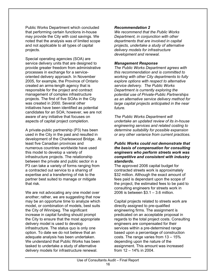Public Works Department which concluded that performing certain functions in-house may provide the City with cost savings. We noted that the analysis was of limited scope and not applicable to all types of capital projects.

Special operating agencies (SOA) are service delivery units that are designed to provide greater freedom from administrative processes in exchange for a serviceoriented delivery approach. In November 2005, for example, the Province of Ontario created an arms-length agency that is responsible for the project and contract management of complex infrastructure projects. The first of five SOAs in the City was created in 2000. Several other initiatives have been identified as potential candidates for an SOA; however, we are not aware of any initiative that focuses on aspects of capital project completion.

A private-public partnership (P3) has been used in the City in the past and resulted in development of the Charleswood Bridge. At least five Canadian provinces and numerous countries worldwide have used this model to develop a variety of infrastructure projects. The relationship between the private and public sector in a P3 can take a variety of forms ranging from a contracted out service to a sharing of expertise and a transferring of risk to the partner best suited to manage or mitigate that risk.

We are not advocating any one model over another; rather, we are suggesting that now may be an opportune time to analyze which model, or combination of models, best suits the City of Winnipeg. The significant increase in capital funding should prompt the City to ensure that the most appropriate delivery model is used to develop infrastructure. The status quo is only one option. To date we do not believe that an adequate analysis has been undertaken. We understand that Public Works has been tasked to undertake a study of alternative delivery models for infrastructure renewal.

#### *Recommendation 2*

*We recommend that the Public Works Department, in conjunction with other departments that are involved in capital projects, undertake a study of alternative delivery models for infrastructure development and renewal.* 

#### *Management Response*

*The Public Works Department agrees with this recommendation and is committed to working with other City departments to fully explore options with respect to alternative service delivery. The Public Works Department is currently exploring the potential use of Private-Public Partnerships as an alternative service delivery method for large capital projects anticipated in the near future.* 

*The Public Works Department will undertake an updated review of its in-house engineering services and related costing to determine suitability for possible expansion or any other variance from current practices.* 

#### *Public Works could not demonstrate that the basis of compensation for consulting engineers who perform streets work was competitive and consistent with industry standards.*

The approved 2006 capital budget for contracted streets work is approximately \$32 million. Although the exact amount of fees paid is dependant upon the scope of the project, the estimated fees to be paid to consulting engineers for streets work in 2006 is between \$3.1 – 3.6 million.

Capital projects related to streets work are directly assigned to pre-qualified engineering firms. The assignment is predicated on an acceptable proposal in regards to the total project costs. Consulting engineers are compensated for their services within a pre-determined range based upon a percentage of construction costs. The range varies from 13 – 15% depending upon the nature of the assignment. This amount was increased from 12 – 14% in 2004.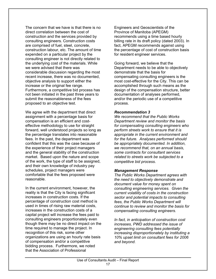The concern that we have is that there is no direct correlation between the cost of construction and the services provided by consulting engineers. Construction costs are comprised of fuel, steel, concrete, construction labour, etc. The amount of time expended on a particular project by the consulting engineer is not directly related to the underlying cost of the materials. While we were advised that there was considerable discussion regarding the most recent increase, there was no documented, objective analysis to support either the increase or the original fee range. Furthermore, a competitive bid process has not been initiated in the past three years to submit the reasonableness of the fees proposed to an objective test.

We agree with the department that direct assignment with a percentage basis for compensation is an efficient and costeffective methodology to use for straight forward, well understood projects so long as the percentage translates into reasonable fees. In the past, the department was confident that this was the case because of the experience of their project managers and the general stability of the construction market. Based upon the nature and scope of the work, the type of staff to be assigned, and their own knowledge of industry pay schedules, project managers were comfortable that the fees proposed were reasonable.

In the current environment, however, the reality is that the City is facing significant increases in construction costs. If the percentage of construction cost method is used in times of rising raw material costs, increases in the construction costs of a capital project will increase the fees paid to consulting engineers proportionately even though there may be no direct impact on the time required to manage the project. In recognition of this risk, some other organizations are using an hourly rate basis of compensation and/or a competitive bidding process. Furthermore, we noted that the Association of Professional

Engineers and Geoscientists of the Province of Manitoba (APEGM) recommends using a time based hourly billing rate in its draft policy (dated 2003). In fact, APEGM recommends against using the percentage of cost of construction basis for resident engineer services.

Going forward, we believe that the Department needs to be able to objectively demonstrate that the basis for compensating consulting engineers is the most cost-effective for the City. This can be accomplished through such means as the design of the compensation structure, better documentation of analyses performed, and/or the periodic use of a competitive process.

#### *Recommendation 3*

*We recommend that the Public Works Department review and monitor the basis for compensating consulting engineers who perform streets work to ensure that it is appropriate in the current environment and for the future. Analyses performed should be appropriately documented. In addition, we recommend that, on an annual basis, some contracts for consultant services related to streets work be subjected to a competitive bid process.* 

#### *Management Response*

*The Public Works Department agrees with the need to objectively demonstrate and document value for money spent on consulting engineering services. Given the current volatility of costs in the construction sector and potential impacts to consulting fees, the Public Works Department will continue to review and monitor the basis for compensating consulting engineers.* 

*In fact, in anticipation of construction cost increases, PWD addressed the issue of engineering consulting fees potentially increasing disproportionately by instituting a 10% upset limit on consultant fees for 2006 and beyond.*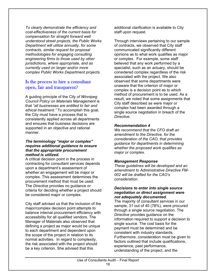*To clearly demonstrate the efficiency and cost-effectiveness of the current basis for compensation for straight forward well understood street projects, the Public Works Department will utilize annually, for some contracts, similar request for proposal methodologies for engaging consulting engineering firms to those used by other jurisdictions, where appropriate, and as currently used on larger and/or more complex Public Works Department projects.* 

#### Is the process to hire a consultant open, fair and transparent?

A guiding principle of the *City of Winnipeg Council Policy on Materials Management* is that *"all businesses are entitled to fair and ethical treatment."* To accomplish this goal, the City must have a process that is consistently applied across all departments and ensures that business decisions are supported in an objective and rational manner.

#### *The terminology "major or complex" requires additional guidance to ensure that the appropriate procurement method is utilized.*

A critical decision point in the process in contracting for consultant services depends upon a department's assessment of whether an engagement will be major or complex. This assessment determines the procurement method that must be used. The *Directive* provides no guidance or criteria for deciding whether a project should be considered major or complex.

City staff advised us that the inclusion of the major/complex decision point attempts to balance internal procurement efficiency with accessibility for all qualified vendors. The Manager of Materials also observed that defining a project as major would be unique to each department and dependent upon the scope of the project in relation to its normal activities. In regard to complexity, the risk associated with the project should be a key criterion. She advised that this

additional clarification is available to City staff upon request.

Through interviews pertaining to our sample of contracts, we observed that City staff communicated significantly different opinions as to what work qualifies as major or complex. For example, some staff believed that any work performed by a specialist, such as an actuary, should be considered complex regardless of the risk associated with the project. We also observed that some departments were unaware that the criterion of major or complex is a decision point as to which method of procurement is to be used. As a result, we noted that some assignments that City staff described as were major or complex had been awarded through a single source negotiation in breach of the *Directive*.

#### *Recommendation 4*

*We recommend that the CFO draft an amendment to the Directive, for the consideration of the CAO, that provides guidance for departments in determining whether the proposed work qualifies as major or complex.* 

#### *Management Response*

*These guidelines will be developed and an amendment to Administrative Directive FM-002 will be drafted for the CAO's consideration.* 

#### *Decisions to enter into single source negotiation or direct assignment were not adequately documented.*

The majority of consultant services in our sample, 31 out of 40 (78%), were procured through a single source negotiation. The *Directive* provides guidance on the information required to support a decision to single source. The cost basis for the payment must be determined and be consistent with industry standards. Furthermore, consideration must be given to factors outlined that include qualifications, experience, past performance, understanding of the project, and the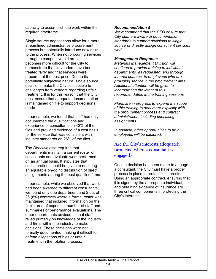capacity to accomplish the work within the required timeframe.

Single source negotiations allow for a more streamlined administrative procurement process but potentially introduce new risks to the process. When not procuring services through a competitive bid process, it becomes more difficult for the City to demonstrate that all vendors have been treated fairly and that services were procured at the best price. Due to its potentially subjective nature, single source decisions make the City susceptible to challenges from vendors regarding unfair treatment. It is for this reason that the City must ensure that adequate documentation is maintained on file to support decisions made.

In our sample, we found that staff had only documented the qualifications and experience of consultants on 42% of the files and provided evidence of a cost basis for the service that was consistent with industry standards on 26% of the files.

The *Directive* also requires that departments maintain a current roster of consultants and evaluate work performed on an annual basis. It stipulates that consideration should be given to ensuring an equitable on-going distribution of direct assignments among the best qualified firms.

In our sample, while we observed that work had been awarded to different consultants, we found only one department and 2 out of 26 (8%) contracts where a formal roster was maintained that included information on the firm's area of expertise, number of staff and summaries of performance evaluations. The other departments advised us that staff relied primarily on knowledge of the industry and firms within the industry to make decisions. These decisions were not formally documented, making it difficult to defend allegations of bias or unfair treatment in the rotation process.

#### *Recommendation 5*

*We recommend that the CFO ensure that City staff are aware of documentation standards to support decisions to single source or directly assign consultant services work.* 

#### *Management Response*

*Materials Management Division will continue to provide training to individual departments, as requested, and through internal courses, to employees who are providing service in the procurement area. Additional attention will be given to incorporating the intent of this recommendation in the training sessions.* 

*Plans are in progress to expand the scope of this training to deal more explicitly with the procurement process and contract administration, including consulting assignments.* 

*In addition, other opportunities to train employees will be explored.* 

#### Are the City's interests adequately protected when a consultant is engaged?

Once a decision has been made to engage a consultant, the City must have a proper process in place to protect its interests. Using an appropriate contract, ensuring that it is signed by the appropriate individual, and obtaining evidence of insurance are three critical components in protecting the City's interests.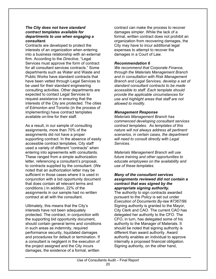#### *The City does not have standard contract templates available for departments to use when engaging a consultant.*

Contracts are developed to protect the interests of an organization when entering into a business relationship with an external firm. According to the *Directive*, "Legal Services must approve the form of contract for all consultant services contracts." Some departments such as Water and Waste and Public Works have standard contracts that have been vetted through Legal Services to be used for their standard engineering consulting activities. Other departments are expected to contact Legal Services to request assistance in ensuring that the interests of the City are protected. The cities of Edmonton and Toronto (in the process of implementing) have contract templates available on-line for their staff.

As a result, in our sample of consulting assignments, more than 70% of the assignments did not have a proper supporting contract. In the absence of easily accessible contract templates, City staff used a variety of different "contracts" when entering into agreements with consultants. These ranged from a simple authorization letter, referencing a consultant's proposal, to contracts supplied by the consultant. (We noted that an authorization letter may be sufficient in those cases where it is used in conjunction with a bid opportunity document that does contain all relevant terms and conditions.) In addition, 22% of the assignments in our sample had no written contract at all with the consultant.

Ultimately, this means that the City's interests have not been adequately protected. The contract, in conjunction with the supporting bid opportunity document, should contain general terms and conditions in such areas as indemnity, required performance security, liquidated damages and procedures for default or termination. If a consultant is negligent in the execution of the project assigned and the City incurs damages, the existence of a formal, written

contract can make the process to recover damages simpler. While the lack of a formal, written contract does not prohibit an organization from recovering damages, the City may have to incur additional legal expenses to attempt to recover the damages in a Court of Law.

#### *Recommendation 6*

*We recommend that Corporate Finance, through the Materials Management Branch and in consultation with Risk Management Branch and Legal Services, develop a set of standard consultant contracts to be made accessible to staff. Each template should provide the applicable circumstances for use and highlight areas that staff are not allowed to modify.* 

#### *Management Response*

*Materials Management Branch has commenced developing consultant services contract templates. As templates of this nature will not always address all pertinent scenarios, in certain cases, the department will need to consult directly with Legal Services.* 

*Materials Management Branch will use future training and other opportunities to educate employees on the availability and use of these templates.* 

#### *Many of the consultant services assignments reviewed did not contain a contract that was signed by the appropriate signing authority.*

The authority to sign contracts awarded pursuant to the *Policy* is set out under *Execution of Documents By-law #7367/99*. Signing authority is granted to the Mayor, City Clerk and CAO. The current CAO has delegated her authority to the CFO. The CFO, in turn, has delegated some of his authority to the Manager of Materials. It should be noted that signing authority is different than award authority. Award authority enables an individual to approve internally a proposed financial obligation. Signing authority, on the other hand,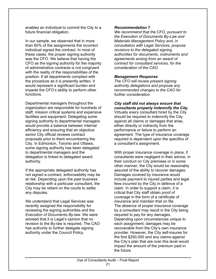enables an individual to commit the City to a future financial obligation.

In our sample, we observed that in more than 60% of the assignments the incorrect individual signed the contract. In most of these cases, the proper signing authority was the CFO. We believe that having the CFO as the signing authority for the majority of administrative contracts is not congruent with the reality of the responsibilities of the position. If all departments complied with the procedure as it is presently written, it would represent a significant burden and impede the CFO's ability to perform other functions.

Departmental managers throughout the organization are responsible for hundreds of staff, mission critical systems and expensive facilities and equipment. Delegating some signing authority to departmental managers would provide a balance between internal efficiency and ensuring that an objective senior City official reviews contract proposals prior to them encumbering the City. In Edmonton, Toronto and Ottawa, some signing authority has been delegated to departmental managers and the delegation is linked to delegated award authority.

If the appropriate delegated authority has not signed a contract, enforceability may be at risk. Depending upon the past business relationship with a particular consultant, the City may be reliant on the courts to settle any disputes.

We understand that Legal Services was recently assigned the responsibility for reviewing the signing authorities and the *Execution of Documents By-law.* We were advised that it is Legal's opinion that no revision to the By-law is required. The CAO has authority to further delegate signing authority under the Council Policy.

#### *Recommendation 7*

*We recommend that the CFO, pursuant to the Execution of Documents By-Law and Materials Management Policy and, in consultation with Legal Services, propose revisions to the delegated signing authorities for documents, instruments and agreements arising from an award of contract for consultant services, for the consideration of the CAO.* 

#### *Management Response*

*The CFO will review present signing authority delegations and propose any recommended changes to the CAO for further consideration.* 

#### *City staff did not always ensure that consultants properly indemnify the City.*

Virtually every consultant hired by the City should be required to indemnify the City against all claims or damages that arise, either directly or indirectly from the performance or failure to perform an agreement. The type of insurance coverage required is dependent upon the specifics of a consultant's assignment.

With proper insurance coverage in place, if consultants were negligent in their advice, in their conduct on City premises or in some other manner, the City would be reasonably assured of the ability to recover damages. Damages covered by insurance would include payment to injured parties and legal fees incurred by the City in defence of a claim. In order to support a claim, it is critical that City staff obtain proof of coverage in the form of a certificate of insurance and maintain that on file. The absence of proper insurance coverage by a consultant may result in the City being required to pay for any damages. Depending upon circumstances unique to each assignment, damages may be recoverable from the City's own insurance provider. However, the City self-insures for the first \$250,000 and any claims against the City's plan that are over this level would impact the amount of the premium paid in the future.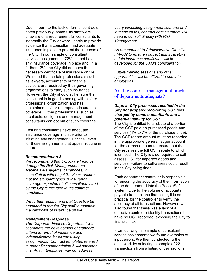Due, in part, to the lack of formal contracts noted previously, some City staff were unaware of a requirement for consultants to indemnify the City or were unable to provide evidence that a consultant had adequate insurance in place to protect the interests of the City. In our sample of consultant services assignments, 72% did not have any insurance coverage in place and, in a further 12%, the City did not have the necessary certificate of insurance on file. We noted that certain professionals such, as lawyers, accountants or financial advisors are required by their governing organizations to carry such insurance. However, the City should still ensure the consultant is in good standing with his/her professional organization and has maintained his/her appropriate insurance coverage. Other professionals, such as architects, designers and management consultants can opt out of such coverage.

Ensuring consultants have adequate insurance coverage in place prior to initiating any engagement is critical, even for those assignments that appear routine in nature.

#### *Recommendation 8*

*We recommend that Corporate Finance, through the Risk Management and Materials Management Branches, in consultation with Legal Services, ensure that the standard types of insurance coverage expected of all consultants hired by the City is included in the contract templates.* 

*We further recommend that Directive be amended to require City staff to maintain the certificate of insurance on file.* 

#### *Management Response*

*The Corporate Finance Department will coordinate the development of standard criteria for proof of insurance and indemnification for all consulting assignments. Contract templates referred to under Recommendation 6 will consider this. Again, templates may not address* 

*every consulting assignment scenario and in these cases, contract administrators will need to consult directly with Risk Management.* 

*An amendment to Administrative Directive FM-002 to ensure contract administrators obtain insurance certificates will be developed for the CAO's consideration.* 

*Future training sessions and other opportunities will be utilized to educate employees.* 

#### Are the contract management practices of departments adequate?

#### *Gaps in City processes resulted in the City not properly recovering GST fees charged by some consultants and a potential liability for GST.*

The City is entitled to a rebate of a portion of the GST paid on purchased goods and services (4% to 7% of the purchase price). The GST rebate amount must be recorded in the appropriate general ledger account for the correct amount to ensure that the City receives the full GST rebate to which it is entitled. The City is also required to selfassess GST for imported goods and services. Failure to self-assess could result in the City being fined.

Each department controller is responsible for ensuring the accuracy of the information of the data entered into the PeopleSoft system. Due to the volume of accounts payable transactions that occur, it is not practical for the controller to verify the accuracy of all transactions. However, we also found that there was a lack of a detective control to identify transactions that have no GST recorded, exposing the City to financial risk.

From our original sample of consultant service assignments we found examples of input errors. We then conducted further audit work by selecting a sample of 22 transactions from a listing of transactions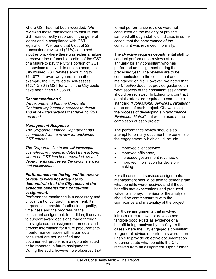where GST had not been recorded. We reviewed those transactions to ensure that GST was correctly recorded in the general ledger and in compliance with GST legislation. We found that 6 out of 22 transactions reviewed (27%) contained input errors, where there was either a failure to recover the refundable portion of the GST or a failure to pay the City's portion of GST on services received. In one instance, the City missed GST rebates amounting to \$11,077.41 over two years. In another example, the City failed to self-assess \$13,712.30 in GST for which the City could have been fined \$7,835.60.

#### *Recommendation 9*

*We recommend that the Corporate Controller implement a process to detect and review transactions that have no GST recorded.* 

#### *Management Response*

*The Corporate Finance Department has commenced with a review for unclaimed GST rebates.* 

*The Corporate Controller will investigate cost-effective means to detect transactions where no GST has been recorded, so that departments can review the circumstances and implications.* 

#### *Performance monitoring and the review of results were not adequate to demonstrate that the City received the expected benefits for a consultant assignment.*

Performance monitoring is a necessary and critical part of contract management. Its purpose is to provide feedback on quality, timeliness and the progress of the consultant assignment. In addition, it serves to support award decisions made through the single source assignment process and provide information for future procurements. If performance issues with a particular consultant are not identified and documented, problems may go undetected or be repeated in future assignments. During the audit, however, we observed that formal performance reviews were not conducted on the majority of projects sampled although staff did indicate, in some cases, that the performance of the consultant was reviewed informally.

The *Directive* requires departmental staff to conduct performance reviews at least annually for any consultant who has performed an assignment during the preceding year. The reviews are to be communicated to the consultant and maintained on file. However, we noted that the *Directive* does not provide guidance on what aspects of the consultant assignment should be reviewed. In Edmonton, contract administrators are required to complete a standard *"Professional Services Evaluation"* at the end of each project. Ottawa is also in the process of developing a *"Performance Evaluation Matrix"* that will be used at the completion of each project.

The performance review should also attempt to formally document the benefits of the engagement, which could include

- improved client service,
- improved efficiency,
- increased government revenue, or
- improved information for decisionmaking.

For all consultant services assignments, management should be able to demonstrate what benefits were received and if those benefits met expectations and produced value for money. The rigor of the analysis should be commensurate with the significance and materiality of the project.

For those assignments that involved infrastructure renewal or development, a tangible good exists as evidence of a benefit being received by the City. In the cases where the City engaged a consultant for general advice, departments were often unable to provide objective documentation to demonstrate what benefits the City received from an assignment. Upon further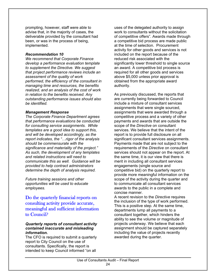prompting, however, staff were able to advise that, in the majority of cases, the deliverable provided by the consultant had been, or was in the process of being, implemented.

#### *Recommendation 10*

*We recommend that Corporate Finance develop a performance evaluation template to supplement the Directive. We suggest that project performance reviews include an assessment of the quality of work performed, the efficiency of the consultant in managing time and resources, the benefits realized, and an analysis of the cost of work in relation to the benefits received. Any outstanding performance issues should also be identified.* 

#### *Management Response*

*The Corporate Finance Department agrees that performance evaluations be conducted for consulting service assignments. While templates are a good idea to support this, and will be developed accordingly, as the report indicates, the "…rigor of the analysis should be commensurate with the significance and materiality of the project." As such, the development of any templates and related instructions will need to communicate this as well. Guidance will be provided to help contract administrators determine the depth of analysis required.* 

*Future training sessions and other opportunities will be used to educate employees.* 

Do the quarterly financial reports on consulting activity provide accurate, meaningful and sufficient information to Council?

#### *Quarterly reports of consultant activity contained inaccurate and misleading information.*

The CFO is required to submit a quarterly report to City Council on the use of consultants. Specifically, the report is intended to keep Council informed "on all

uses of the delegated authority to assign work to consultants without the solicitation of competitive offers". Awards made through a competitive bid process are made public at the time of selection. Procurement activity for other goods and services is not included on the report because of the reduced risk associated with the significantly lower threshold to single source an award. A competitive bid process is required for all other goods and services above \$5,000 unless prior approval is obtained from the appropriate award authority.

As previously discussed, the reports that are currently being forwarded to Council include a mixture of consultant services assignments that were single sourced, assignments that were awarded through a competitive process and a variety of other payments and awards that are outside the scope of the *Directive* on consultant services. We believe that the intent of the report is to provide full disclosure on all significant consultant services assignments. Payments made that are not subject to the requirements of the *Directive* on consultant services should not appear on the report. At the same time, it is our view that there is merit in including all consultant services engagements (single source and competitive bid) on the quarterly report to provide more meaningful information on the scope of the activity during the quarter and to communicate all consultant services awards to the public in a complete and concise manner.

A recent revision to the *Directive* requires the inclusion of the type of work performed. This is a positive step. At the same time, departments lump all payments to a consultant together, which hinders the ability to see the volume or magnitude of projects underway. We believe that each assignment should be captured separately including the value of projects recently awarded during the quarter.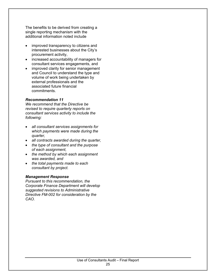The benefits to be derived from creating a single reporting mechanism with the additional information noted include

- improved transparency to citizens and interested businesses about the City's procurement activity,
- increased accountability of managers for consultant services engagements, and
- improved clarity for senior management and Council to understand the type and volume of work being undertaken by external professionals and the associated future financial commitments.

#### *Recommendation 11*

*We recommend that the Directive be revised to require quarterly reports on consultant services activity to include the following:* 

- *all consultant services assignments for which payments were made during the quarter,*
- *all contracts awarded during the quarter,*
- *the type of consultant and the purpose of each assignment,*
- *the method by which each assignment was awarded, and*
- *the total payments made to each consultant by project.*

#### *Management Response*

*Pursuant to this recommendation, the Corporate Finance Department will develop suggested revisions to Administrative Directive FM-002 for consideration by the CAO.*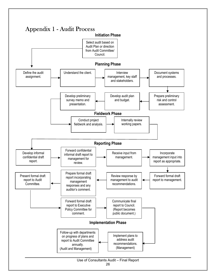

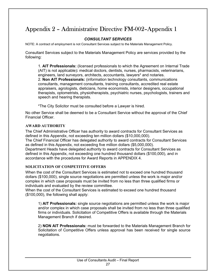## Appendix 2 – Administrative Directive FM-002–Appendix 1

#### *CONSULTANT SERVICES*

NOTE: A contract of employment is not Consultant Services subject to the Materials Management Policy.

Consultant Services subject to the Materials Management Policy are services provided by the following:

 1. **AIT Professionals:** (licensed professionals to which the Agreement on Internal Trade (AIT) is not applicable)**:** medical doctors, dentists, nurses, pharmacists, veterinarians, engineers, land surveyors, architects, accountants, lawyers\* and notaries. 2. **Non AIT Professionals:** (information technology consultants, communications consultants, management consultants, training consultants, accredited real estate appraisers, agrologists, dieticians, home economists, interior designers, occupational therapists, optometrists, physiotherapists, psychiatric nurses, psychologists, trainers and speech and hearing therapists.

\*The City Solicitor must be consulted before a Lawyer is hired.

No other Service shall be deemed to be a Consultant Service without the approval of the Chief Financial Officer.

#### **AWARD AUTHORITY**

The Chief Administrative Officer has authority to award contracts for Consultant Services as defined in this Appendix, not exceeding ten million dollars (\$10,000,000).

The Chief Financial Officer has delegated authority to award contracts for Consultant Services as defined in this Appendix, not exceeding five million dollars (\$5,000,000).

Department Heads have delegated authority to award contracts for Consultant Services as defined in this Appendix, not exceeding one hundred thousand dollars (\$100,000), and in accordance with the procedures for Award Reports in APPENDIX 4.

#### **SOLICITATION OF COMPETITIVE OFFERS**

When the cost of the Consultant Services is estimated not to exceed one hundred thousand dollars (\$100,000), single source negotiations are permitted unless the work is major and/or complex in which case proposals must be invited from no less than three qualified firms or individuals and evaluated by the review committee.

When the cost of the Consultant Services is estimated to exceed one hundred thousand (\$100,000), the following shall apply:

 1) **AIT Professionals:** single source negotiations are permitted unless the work is major and/or complex in which case proposals shall be invited from no less than three qualified firms or individuals. Solicitation of Competitive Offers is available through the Materials Management Branch if desired.

 2) **NON AIT Professionals:** must be forwarded to the Materials Management Branch for Solicitation of Competitive Offers unless approval has been received for single source negotiations.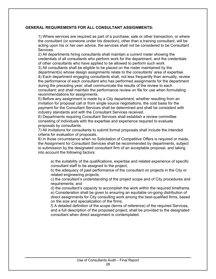#### **GENERAL REQUIREMENTS FOR ALL CONSULTANT ASSIGNMENTS:**

 1) Where services are required as part of a purchase, sale or other transaction, or where the consultant (or someone under his direction), other than a training consultant, will be acting upon his or her own advice, the services shall not be considered to be Consultant Services.

 2) All departments hiring consultants shall maintain a current roster showing the credentials of all consultants who perform work for the department, and the credentials of other consultants who have applied to be allowed to perform such work.

 3) All consultants shall be eligible to be placed on the roster maintained by the department(s) whose design assignments relate to the consultants' area of expertise. 4) Each department engaging consultants shall, not less frequently than annually, review the performance of each consultant who has performed assignments for the department during the preceding year; shall communicate the results of the review to each consultant; and shall maintain the performance review on file for use when formulating recommendations for assignments.

 5) Before any assignment is made by a City department, whether resulting from an invitation for proposal call or from single source negotiations, the cost basis for the payment for the Consultant Services shall be determined and shall be consistent with industry standards and with the Consultant Services received.

 6) Departments requiring Consultant Services shall establish a review committee consisting of individuals with the expertise and experience required to evaluate proposals by consultants.

 7) All invitations for consultants to submit formal proposals shall include the intended criteria for evaluation of proposals.

 8) In those circumstance when no Solicitation of Competitive Offers is required or made, the Assignment for Consultant Services shall be recommended by departments, subject to submission by the designated consultant firm of an acceptable proposal, and taking into account the following factors:

 a) the suitability of the qualifications, expertise and related experience of specific consultant staff to be assigned to the project;

 b) the adequacy of past performance of the consultant on projects in the City or related engineering projects;

 c) the consultant's understanding of the project scope and of City procedures and requirements; and

 d) the consultant's capacity to accomplish the work within the required timeframe. e) Consideration shall be given to ensuring an equitable on-going distribution of direct assignments for City consulting work among the best-qualified firms, based on the size and specialization of the firms.

 f) A detailed definition of the scope (terms of reference) of the required Services, and a full description of the proposed project, shall be provided to the designated consultant when direct assignment is contemplated.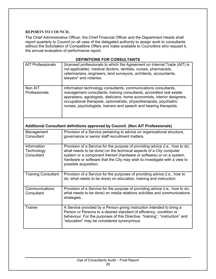#### **REPORTS TO COUNCIL**

The Chief Administrative Officer, the Chief Financial Officer and the Department Heads shall report quarterly to Council on all uses of the delegated authority to assign work to consultants without the Solicitation of Competitive Offers and make available to Councillors who request it, the annual evaluation of performance report.

|                                         | <b>DEFINITIONS FOR CONSULTANTS</b>                                                                                                                                                                                                                                                                                                                                 |  |  |  |  |  |  |
|-----------------------------------------|--------------------------------------------------------------------------------------------------------------------------------------------------------------------------------------------------------------------------------------------------------------------------------------------------------------------------------------------------------------------|--|--|--|--|--|--|
| <b>AIT Professionals</b>                | (licensed professionals to which the Agreement on Internal Trade (AIT) is<br>not applicable): medical doctors, dentists, nurses, pharmacists,<br>veterinarians, engineers, land surveyors, architects, accountants,<br>lawyers* and notaries.                                                                                                                      |  |  |  |  |  |  |
| Non AIT<br>Professionals                | information technology consultants, communications consultants,<br>management consultants, training consultants, accredited real estate<br>appraisers, agrologists, dieticians, home economists, interior designers,<br>occupational therapists, optometrists, physiotherapists, psychiatric<br>nurses, psychologists, trainers and speech and hearing therapists. |  |  |  |  |  |  |
|                                         | Additional Consultant definitions approved by Council. (Non AIT Professionals)                                                                                                                                                                                                                                                                                     |  |  |  |  |  |  |
| Management<br>Consultant                | Provision of a Service pertaining to advice on organizational structure,<br>governance or senior staff recruitment matters.                                                                                                                                                                                                                                        |  |  |  |  |  |  |
| Information<br>Technology<br>Consultant | Provision of a Service for the purpose of providing advice (i.e., how to do;<br>what needs to be done) on the technical aspects of a City computer<br>system or a component thereof (hardware or software) or on a system,<br>hardware or software that the City may wish to investigate with a view to<br>possible acquisition.                                   |  |  |  |  |  |  |
| <b>Training Consultant</b>              | Provision of a Service for the purposes of providing advice (i.e., how to<br>do; what needs to be done) on education, training and instruction.                                                                                                                                                                                                                    |  |  |  |  |  |  |
| Communications<br>Consultant            | Provision of a Service for the purpose of providing advice (i.e., how to do;<br>what needs to be done) on media relations activities and communications<br>strategies.                                                                                                                                                                                             |  |  |  |  |  |  |
| <b>Trainer</b>                          | A Service provided by a Person giving instruction intended to bring a<br>Person or Persons to a desired standard of efficiency, condition or<br>behaviour. For the purposes of this Directive, "training", "instruction" and<br>"education" may be considered synonymous.                                                                                          |  |  |  |  |  |  |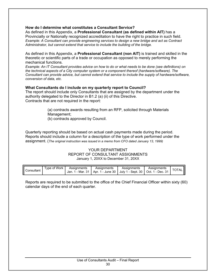#### **How do I determine what constitutes a Consultant Service?**

As defined in this Appendix, a **Professional Consultant (as defined within AIT)** has a Provincially or Nationally recognized accreditation to have the right to practice in such field. *Example: A Consultant can provide engineering services to design a new bridge and act as Contract Administrator, but cannot extend that service to include the building of the bridge.* 

As defined in this Appendix, a **Professional Consultant (non AIT)** is trained and skilled in the theoretic or scientific parts of a trade or occupation as opposed to merely performing the mechanical functions.

*Example: An IT Consultant provides advice on how to do or what needs to be done (see definitions) on the technical aspects of a City computer system or a component thereof (hardware/software). The Consultant can provide advice, but cannot extend that service to include the supply of hardware/software, conversion of data, etc.* 

#### **What Consultants do I include on my quarterly report to Council?**

The report should include only Consultants that are assigned by the department under the authority delegated to the Director in B1.2 (a) (ii) of this Directive. Contracts that are not required in the report:

> (a) contracts awards resulting from an RFP, solicited through Materials Management;

(b) contracts approved by Council.

Quarterly reporting should be based on actual cash payments made during the period. Reports should include a column for a description of the type of work performed under the assignment. (*The original instruction was issued in a memo from CFO dated January 13, 1999)* 

#### YOUR DEPARTMENT REPORT OF CONSULTANT ASSIGNMENTS January 1, 20XX to December 31, 20XX

| Consultant | Type of Work | Assignments<br>Mar.<br>Jan. | Assignments<br>1 - June 30<br>Apr. | Assignments<br>July 1 - Sept. 30 | Assignments<br>Oct.<br>Dec. 31<br>. <b>.</b> | <b>TOTAL</b> |
|------------|--------------|-----------------------------|------------------------------------|----------------------------------|----------------------------------------------|--------------|

Reports are required to be submitted to the office of the Chief Financial Officer within sixty (60) calendar days of the end of each quarter.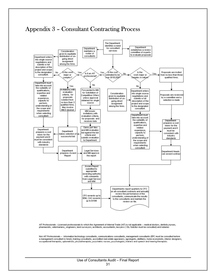



AIT Professionals --Licensed professionals to which the Agreement of Internal Trade (AIT) is not applicable -- medical doctors, dentists,nurses,<br>pharmacists, veterinarians,, engineers, land surveyors, architects, accountan

Non AIT Professionals -- information technology consultants, communications consultants, management consultants (EPC must be consulted before a management consultant is hired), training consultants, accredited real estate appraisers, agrologists, dietitians, home economists, interior designers, occupational therapists, optometrists, physiotherapists, psychiatric nurses, psychologists, trainers and speech and hearing therapists.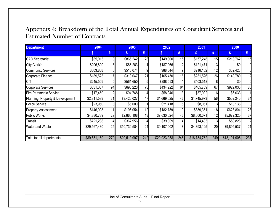## Appendix 4: Breakdown of the Total Annual Expenditures on Consultant Services and Estimated Number of Contracts

| <b>Department</b>                | 2004         |     |              |                | 2002         |                | 2001         |     | 2000         |                |
|----------------------------------|--------------|-----|--------------|----------------|--------------|----------------|--------------|-----|--------------|----------------|
|                                  | \$.          | #   | \$           | #              | S.           | #              | \$           | #   | \$           | #              |
| <b>CAO Secretariat</b>           | \$85,913     | 81  | \$866,242    | 28             | \$149,300    | 15             | \$157,248    | 15  | \$213,762    | 15             |
| City Clerk's                     | \$206,800    | 3   | \$86,263     |                | \$187,966    | $\overline{2}$ | \$121,471    |     | \$0          | 0              |
| <b>Community Services</b>        | \$303,888    | 8   | \$516,074    | 9 <sub>l</sub> | \$88,544     | 9 <sub>l</sub> | \$216,162    | 12  | \$32,428     | 3 <sup>l</sup> |
| <b>Corporate Finance</b>         | \$189,523    | 17  | \$318,047    | 21             | \$165,450    | 16             | \$231,526    | 26  | \$149,780    | 12             |
| <b>CIT</b>                       | \$245,509    | 51  | \$561,650    | 5              | \$288,593    | 11             | \$403,518    | 81  | \$0          | $\mathbf{0}$   |
| <b>Corporate Services</b>        | \$831,087    | 94  | \$690,223    | 73             | \$434,222    | 64             | \$465,769    | 67  | \$929,033    | 86             |
| <b>Fire Paramedic Service</b>    | \$17,459     |     | \$94,768     | 4              | \$58,946     |                | \$37,992     | 61  | \$6,033      |                |
| Planning, Property & Development | \$2,311,599  | 61  | \$3,426,027  | 47             | \$1,669,025  | 46             | \$1,745,973  | 56  | \$502,240    | 34             |
| <b>Police Service</b>            | \$23,950     | 31  | \$6,000      |                | \$21,418     | 5              | \$8,061      | 3   | \$18,138     | 3              |
| <b>Property Assessment</b>       | \$146,003    | 11  | \$196,054    | 12             | \$182,759    | 9              | \$339,351    | 18  | \$623,804    | 23             |
| <b>Public Works</b>              | \$4,880,739  | 29  | \$2,665,108  | 13             | \$7,630,524  | 46             | \$8,600,071  | 12  | \$5,672,325  | 37             |
| Transit                          | \$721,288    | 4   | \$362,956    | 41             | \$39,309     | 41             | \$14,493     |     | \$58,828     | $\overline{2}$ |
| <b>Water and Waste</b>           | \$29,567,430 | 25  | \$10,730,584 | 24             | \$9,107,902  | 18             | \$4,393,125  | 20  | \$9,895,537  | 21             |
|                                  |              |     |              |                |              |                |              |     |              |                |
| Total for all departments        | \$39,531,189 | 270 | \$20,519,997 | 242            | \$20,023,958 | 248            | \$16,734,762 | 249 | \$18,101,908 | 237            |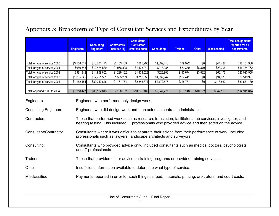## Appendix 5: Breakdown of Type of Consultant Services and Expenditures by Year

|                                | <b>Engineers</b> | <b>Consulting</b><br><b>Engineers</b>                                                                                                                                      | <b>Contractors</b><br>(Includes IT) | <b>Consultant/</b><br><b>Contractor</b><br>(Professional)                                                                                                                                                   | <b>Consulting</b> | <b>Trainer</b> | <b>Other</b> | <b>Misclassified</b> | <b>Total assignments</b><br>reported for all<br>departments |  |
|--------------------------------|------------------|----------------------------------------------------------------------------------------------------------------------------------------------------------------------------|-------------------------------------|-------------------------------------------------------------------------------------------------------------------------------------------------------------------------------------------------------------|-------------------|----------------|--------------|----------------------|-------------------------------------------------------------|--|
|                                |                  |                                                                                                                                                                            |                                     |                                                                                                                                                                                                             |                   |                |              |                      |                                                             |  |
| Total for type of service 2000 | \$3,158,511      | \$10,701,173                                                                                                                                                               | \$2,153,109                         | \$865,295                                                                                                                                                                                                   | \$1,099,416       | \$79,922       | \$0          | \$44,482             | \$18,101,908                                                |  |
| Total for type of service 2001 | \$680,645        | \$12,474,589                                                                                                                                                               | \$1,068,838                         | \$1,478,049                                                                                                                                                                                                 | \$913,935         | \$89,330       | \$6,370      | \$23,006             | \$16,734,762                                                |  |
| Total for type of service 2002 | \$981,842        | \$14,959,852                                                                                                                                                               | \$1,299,162                         | \$1,973,528                                                                                                                                                                                                 | \$628,902         | \$110,674      | \$3,822      | \$66,176             | \$20,023,958                                                |  |
| Total for type of service 2003 | \$1,235,245      | \$12,751,551                                                                                                                                                               | \$1,505,289                         | \$3,712,856                                                                                                                                                                                                 | \$1,032,942       | \$187,441      | \$0          | \$94,673             | \$20,519,997                                                |  |
| Total for type of service 2004 | \$1,162,184      | \$32,240,648                                                                                                                                                               | \$1,161,764                         | \$2,346,374                                                                                                                                                                                                 | \$2,172,576       | \$328,781      | \$0          | \$118,862            | \$39,531,189                                                |  |
| Total for period 2000 to 2004  | \$7,218,427      | \$83,127,813                                                                                                                                                               | \$7,188,162                         | \$10,376,102                                                                                                                                                                                                | \$5,847,771       | \$796,148      | \$10,192     | \$347,199            | \$114,911,814                                               |  |
| Engineers                      |                  |                                                                                                                                                                            |                                     | Engineers who performed only design work.                                                                                                                                                                   |                   |                |              |                      |                                                             |  |
| <b>Consulting Engineers</b>    |                  |                                                                                                                                                                            |                                     | Engineers who did design work and then acted as contract administrator.                                                                                                                                     |                   |                |              |                      |                                                             |  |
| Contractors                    |                  |                                                                                                                                                                            |                                     | Those that performed work such as research, translation, facilitators, lab services, investigator, and<br>hearing testing. This included IT professionals who provided advice and then acted on the advice. |                   |                |              |                      |                                                             |  |
| Consultant/Contractor          |                  | Consultants where it was difficult to separate their advice from their performance of work. Included<br>professionals such as lawyers, landscape architects and surveyors. |                                     |                                                                                                                                                                                                             |                   |                |              |                      |                                                             |  |
| Consulting:                    |                  | Consultants who provided advice only. Included consultants such as medical doctors, psychologists<br>and IT professionals.                                                 |                                     |                                                                                                                                                                                                             |                   |                |              |                      |                                                             |  |
| <b>Trainer</b>                 |                  |                                                                                                                                                                            |                                     | Those that provided either advice on training programs or provided training services.                                                                                                                       |                   |                |              |                      |                                                             |  |
| Other                          |                  |                                                                                                                                                                            |                                     | Insufficient information available to determine what type of service.                                                                                                                                       |                   |                |              |                      |                                                             |  |

Misclassified Payments reported in error for such things as food, materials, printing, arbitrators, and court costs.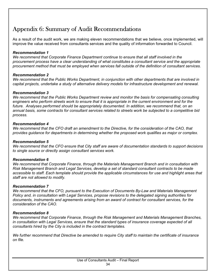## Appendix 6: Summary of Audit Recommendations

As a result of the audit work, we are making eleven recommendations that we believe, once implemented, will improve the value received from consultants services and the quality of information forwarded to Council.

#### *Recommendation 1*

*We recommend that Corporate Finance Department continue to ensure that all staff involved in the procurement process have a clear understanding of what constitutes a consultant service and the appropriate procurement method that must be employed when services fall outside of the definition of consultant services.* 

#### *Recommendation 2*

*We recommend that the Public Works Department, in conjunction with other departments that are involved in capital projects, undertake a study of alternative delivery models for infrastructure development and renewal.* 

#### *Recommendation 3*

*We recommend that the Public Works Department review and monitor the basis for compensating consulting engineers who perform streets work to ensure that it is appropriate in the current environment and for the future. Analyses performed should be appropriately documented. In addition, we recommend that, on an annual basis, some contracts for consultant services related to streets work be subjected to a competitive bid process.* 

#### *Recommendation 4*

*We recommend that the CFO draft an amendment to the Directive, for the consideration of the CAO, that provides guidance for departments in determining whether the proposed work qualifies as major or complex.* 

#### *Recommendation 5*

*We recommend that the CFO ensure that City staff are aware of documentation standards to support decisions to single source or directly assign consultant services work.* 

#### *Recommendation 6*

*We recommend that Corporate Finance, through the Materials Management Branch and in consultation with Risk Management Branch and Legal Services, develop a set of standard consultant contracts to be made accessible to staff. Each template should provide the applicable circumstances for use and highlight areas that staff are not allowed to modify.* 

#### *Recommendation 7*

*We recommend that the CFO, pursuant to the Execution of Documents By-Law and Materials Management Policy and, in consultation with Legal Services, propose revisions to the delegated signing authorities for documents, instruments and agreements arising from an award of contract for consultant services, for the consideration of the CAO.* 

#### *Recommendation 8*

*We recommend that Corporate Finance, through the Risk Management and Materials Management Branches, in consultation with Legal Services, ensure that the standard types of insurance coverage expected of all consultants hired by the City is included in the contract templates.* 

*We further recommend that Directive be amended to require City staff to maintain the certificate of insurance on file.*